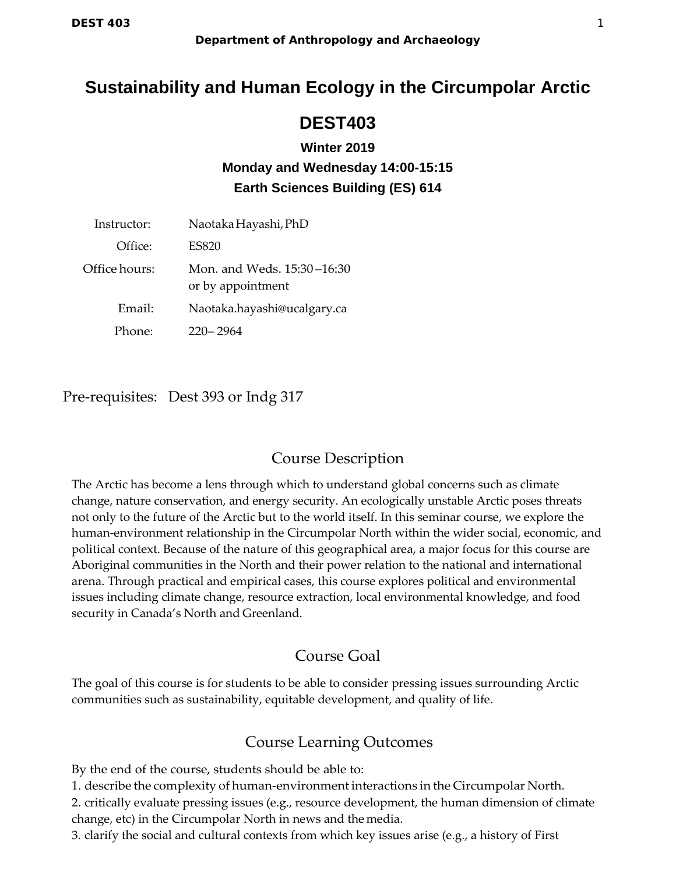# **Sustainability and Human Ecology in the Circumpolar Arctic**

# **DEST403**

# **Winter 2019 Monday and Wednesday 14:00-15:15 Earth Sciences Building (ES) 614**

| Instructor:   | Naotaka Hayashi, PhD                            |  |  |
|---------------|-------------------------------------------------|--|--|
| Office:       | <b>ES820</b>                                    |  |  |
| Office hours: | Mon. and Weds. 15:30–16:30<br>or by appointment |  |  |
| Email:        | Naotaka.hayashi@ucalgary.ca                     |  |  |
| Phone:        | 220–2964                                        |  |  |

Pre-requisites: Dest 393 or Indg 317

# Course Description

The Arctic has become a lens through which to understand global concerns such as climate change, nature conservation, and energy security. An ecologically unstable Arctic poses threats not only to the future of the Arctic but to the world itself. In this seminar course, we explore the human-environment relationship in the Circumpolar North within the wider social, economic, and political context. Because of the nature of this geographical area, a major focus for this course are Aboriginal communities in the North and their power relation to the national and international arena. Through practical and empirical cases, this course explores political and environmental issues including climate change, resource extraction, local environmental knowledge, and food security in Canada's North and Greenland.

# Course Goal

The goal of this course is for students to be able to consider pressing issues surrounding Arctic communities such as sustainability, equitable development, and quality of life.

# Course Learning Outcomes

By the end of the course, students should be able to:

1. describe the complexity of human-environment interactions in the Circumpolar North.

2. critically evaluate pressing issues (e.g., resource development, the human dimension of climate change, etc) in the Circumpolar North in news and the media.

3. clarify the social and cultural contexts from which key issues arise (e.g., a history of First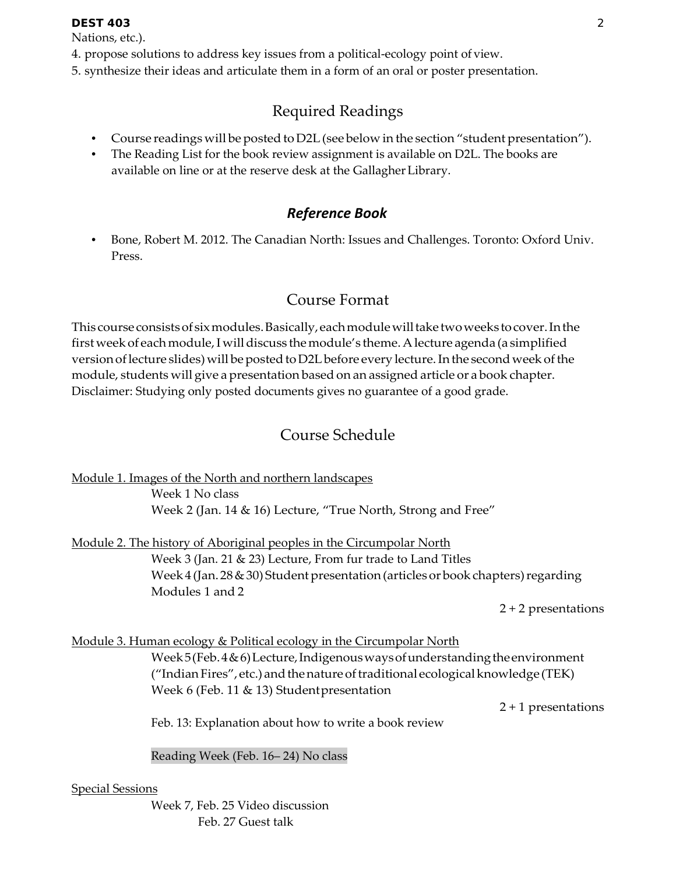Nations, etc.).

- 4. propose solutions to address key issues from a political-ecology point of view.
- 5. synthesize their ideas and articulate them in a form of an oral or poster presentation.

# Required Readings

- Course readings will be posted to D2L (see below in the section "student presentation").
- The Reading List for the book review assignment is available on D2L. The books are available on line or at the reserve desk at the GallagherLibrary.

# *Reference Book*

• Bone, Robert M. 2012. The Canadian North: Issues and Challenges. Toronto: Oxford Univ. Press.

# Course Format

This course consists of six modules. Basically, each module will take two weeks to cover. In the first week of each module, I will discuss the module's theme. A lecture agenda (a simplified version of lecture slides) will be posted to D2L before every lecture. In the second week of the module, students will give a presentation based on an assigned article or a book chapter. Disclaimer: Studying only posted documents gives no guarantee of a good grade.

# Course Schedule

Module 1. Images of the North and northern landscapes

Week 1 No class Week 2 (Jan. 14 & 16) Lecture, "True North, Strong and Free"

Module 2. The history of Aboriginal peoples in the Circumpolar North Week 3 (Jan. 21 & 23) Lecture, From fur trade to Land Titles Week  $4$  (Jan. 28 & 30) Student presentation (articles or book chapters) regarding Modules 1 and 2

2 + 2 presentations

## Module 3. Human ecology & Political ecology in the Circumpolar North

Week 5(Feb.4&6)Lecture, Indigenous ways of understanding the environment ("Indian Fires", etc.) and the nature of traditional ecological knowledge (TEK) Week 6 (Feb. 11 & 13) Studentpresentation

2 + 1 presentations

Feb. 13: Explanation about how to write a book review

Reading Week (Feb. 16– 24) No class

## Special Sessions

Week 7, Feb. 25 Video discussion Feb. 27 Guest talk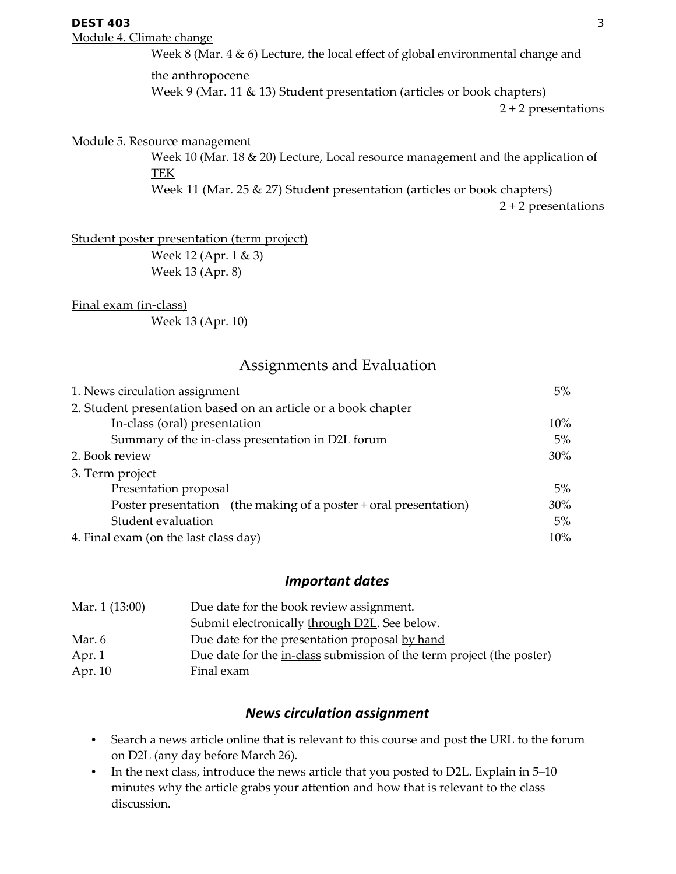#### **DEST 403** 3

Module 4. Climate change

Week 8 (Mar. 4 & 6) Lecture, the local effect of global environmental change and the anthropocene

Week 9 (Mar. 11 & 13) Student presentation (articles or book chapters)

2 + 2 presentations

#### Module 5. Resource management

Week 10 (Mar. 18 & 20) Lecture, Local resource management and the application of TEK

Week 11 (Mar. 25 & 27) Student presentation (articles or book chapters)

2 + 2 presentations

Student poster presentation (term project)

Week 12 (Apr. 1 & 3) Week 13 (Apr. 8)

Final exam (in-class)

Week 13 (Apr. 10)

## Assignments and Evaluation

| 1. News circulation assignment                                   |       |  |
|------------------------------------------------------------------|-------|--|
| 2. Student presentation based on an article or a book chapter    |       |  |
| In-class (oral) presentation                                     | 10%   |  |
| Summary of the in-class presentation in D2L forum                |       |  |
| 2. Book review                                                   |       |  |
| 3. Term project                                                  |       |  |
| Presentation proposal                                            | $5\%$ |  |
| Poster presentation (the making of a poster + oral presentation) | 30%   |  |
| Student evaluation                                               | $5\%$ |  |
| 4. Final exam (on the last class day)                            |       |  |

### *Important dates*

| Mar. 1 (13:00) | Due date for the book review assignment.                              |  |  |
|----------------|-----------------------------------------------------------------------|--|--|
|                | Submit electronically through D2L. See below.                         |  |  |
| Mar. 6         | Due date for the presentation proposal by hand                        |  |  |
| Apr. 1         | Due date for the in-class submission of the term project (the poster) |  |  |
| Apr. 10        | Final exam                                                            |  |  |

### *News circulation assignment*

- Search a news article online that is relevant to this course and post the URL to the forum on D2L (any day before March 26).
- In the next class, introduce the news article that you posted to D2L. Explain in 5–10 minutes why the article grabs your attention and how that is relevant to the class discussion.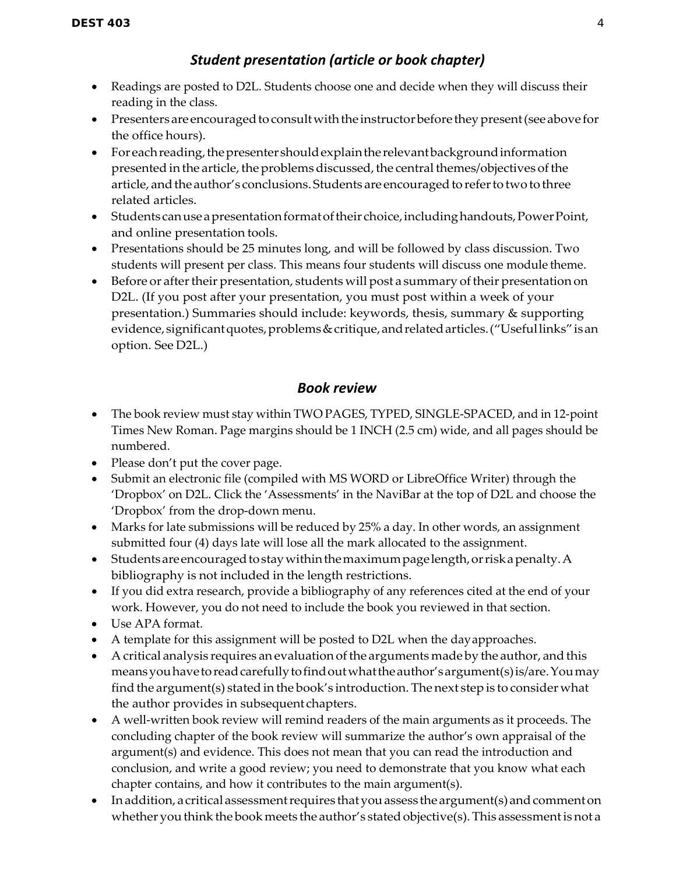## *Student presentation (article or book chapter)*

- Readings are posted to D2L. Students choose one and decide when they will discuss their reading in the class.
- Presenters are encouraged to consult with the instructor before they present (see above for the office hours).
- Foreach reading, the presenter should explain the relevant background information presented in the article, the problems discussed, the central themes/objectives of the article, and the author's conclusions. Students are encouraged to refer to two to three related articles.
- Students can use a presentation format of their choice, including handouts, Power Point, and online presentation tools.
- Presentations should be 25 minutes long, and will be followed by class discussion. Two students will present per class. This means four students will discuss one module theme.
- Before or after their presentation, students will post a summary of their presentation on D2L. (If you post after your presentation, you must post within a week of your presentation.) Summaries should include: keywords, thesis, summary & supporting evidence, significant quotes, problems & critique, and related articles. ("Useful links" is an option. See D2L.)

## *Book review*

- The book review must stay within TWO PAGES, TYPED, SINGLE-SPACED, and in 12-point Times New Roman. Page margins should be 1 INCH (2.5 cm) wide, and all pages should be numbered.
- Please don't put the cover page.
- Submit an electronic file (compiled with MS WORD or LibreOffice Writer) through the 'Dropbox' on D2L. Click the 'Assessments' in the NaviBar at the top of D2L and choose the 'Dropbox' from the drop-down menu.
- Marks for late submissions will be reduced by 25% a day. In other words, an assignment submitted four (4) days late will lose all the mark allocated to the assignment.
- Students are encouraged to stay within the maximum page length, or risk a penalty. A bibliography is not included in the length restrictions.
- If you did extra research, provide a bibliography of any references cited at the end of your work. However, you do not need to include the book you reviewed in that section.
- Use APA format.
- A template for this assignment will be posted to D2L when the dayapproaches.
- A critical analysis requires an evaluation of the arguments made by the author, and this means you have to read carefully to find out what the author's argument(s) is/are. You may find the argument(s) stated in the book's introduction. The next step is to consider what the author provides in subsequent chapters.
- A well-written book review will remind readers of the main arguments as it proceeds. The concluding chapter of the book review will summarize the author's own appraisal of the argument(s) and evidence. This does not mean that you can read the introduction and conclusion, and write a good review; you need to demonstrate that you know what each chapter contains, and how it contributes to the main argument(s).
- Inaddition, a critical assessment requires that you assess the argument(s) and comment on whether you think the book meets the author's stated objective(s). This assessment is not a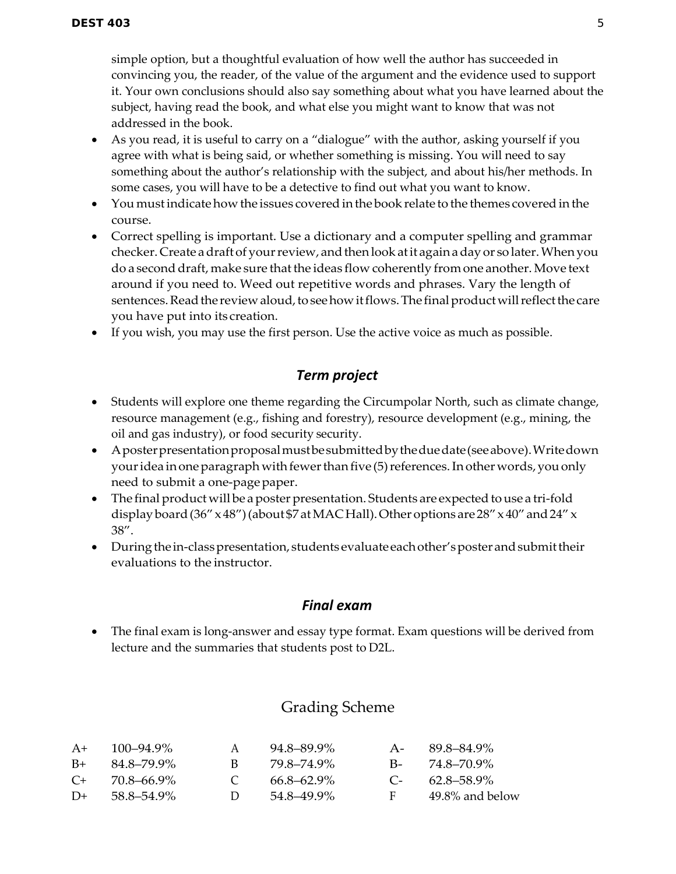simple option, but a thoughtful evaluation of how well the author has succeeded in convincing you, the reader, of the value of the argument and the evidence used to support it. Your own conclusions should also say something about what you have learned about the subject, having read the book, and what else you might want to know that was not addressed in the book.

- As you read, it is useful to carry on a "dialogue" with the author, asking yourself if you agree with what is being said, or whether something is missing. You will need to say something about the author's relationship with the subject, and about his/her methods. In some cases, you will have to be a detective to find out what you want to know.
- You must indicate how the issues covered in the book relate to the themes covered in the course.
- Correct spelling is important. Use a dictionary and a computer spelling and grammar checker. Create adraftof yourreview, andthenlookatit againaday or so later.Whenyou do a second draft, make sure that the ideas flow coherently from one another. Move text around if you need to. Weed out repetitive words and phrases. Vary the length of sentences. Read the review aloud, to see how it flows. The final product will reflect the care you have put into its creation.
- If you wish, you may use the first person. Use the active voice as much as possible.

## *Term project*

- Students will explore one theme regarding the Circumpolar North, such as climate change, resource management (e.g., fishing and forestry), resource development (e.g., mining, the oil and gas industry), or food security security.
- Aposterpresentationproposalmustbesubmittedbytheduedate(seeabove).Writedown your idea in one paragraph with fewer than five (5) references. In other words, you only need to submit a one-pagepaper.
- The final product will be a poster presentation. Students are expected to use a tri-fold display board (36"  $\times$  48") (about \$7 at MAC Hall). Other options are 28"  $\times$  40" and 24"  $\times$ 38".
- During the in-class presentation, students evaluate each other's poster and submit their evaluations to the instructor.

## *Final exam*

• The final exam is long-answer and essay type format. Exam questions will be derived from lecture and the summaries that students post to D2L.

# Grading Scheme

| $A+$    | $100 - 94.9\%$ |        | 94.8–89.9%      | $A -$   | 89.8–84.9%          |
|---------|----------------|--------|-----------------|---------|---------------------|
| $B+$    | 84.8–79.9%     | R.     | 79 8–74 9%      |         | $B - 74.8 - 70.9\%$ |
| $C_{+}$ | 70.8–66.9%     |        | $66.8 - 62.9\%$ | $C_{-}$ | $62.8 - 58.9\%$     |
| $D+$    | 58.8–54.9%     | $\Box$ | 54.8–49.9%      | F       | 49.8% and below     |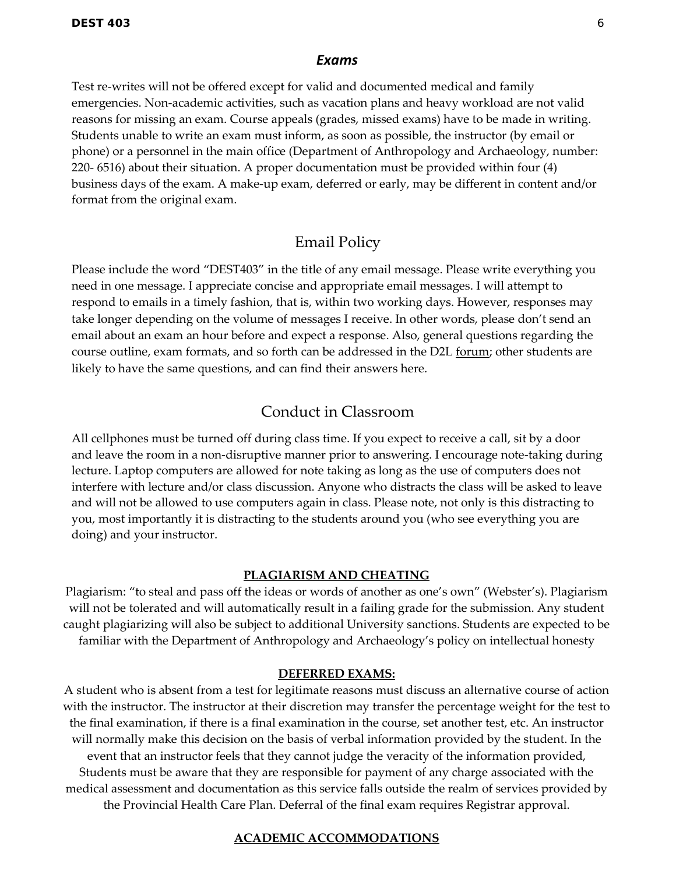#### *Exams*

Test re-writes will not be offered except for valid and documented medical and family emergencies. Non-academic activities, such as vacation plans and heavy workload are not valid reasons for missing an exam. Course appeals (grades, missed exams) have to be made in writing. Students unable to write an exam must inform, as soon as possible, the instructor (by email or phone) or a personnel in the main office (Department of Anthropology and Archaeology, number: 220- 6516) about their situation. A proper documentation must be provided within four (4) business days of the exam. A make-up exam, deferred or early, may be different in content and/or format from the original exam.

## Email Policy

Please include the word "DEST403" in the title of any email message. Please write everything you need in one message. I appreciate concise and appropriate email messages. I will attempt to respond to emails in a timely fashion, that is, within two working days. However, responses may take longer depending on the volume of messages I receive. In other words, please don't send an email about an exam an hour before and expect a response. Also, general questions regarding the course outline, exam formats, and so forth can be addressed in the D2L forum; other students are likely to have the same questions, and can find their answers here.

## Conduct in Classroom

All cellphones must be turned off during class time. If you expect to receive a call, sit by a door and leave the room in a non-disruptive manner prior to answering. I encourage note-taking during lecture. Laptop computers are allowed for note taking as long as the use of computers does not interfere with lecture and/or class discussion. Anyone who distracts the class will be asked to leave and will not be allowed to use computers again in class. Please note, not only is this distracting to you, most importantly it is distracting to the students around you (who see everything you are doing) and your instructor.

#### **PLAGIARISM AND CHEATING**

Plagiarism: "to steal and pass off the ideas or words of another as one's own" (Webster's). Plagiarism will not be tolerated and will automatically result in a failing grade for the submission. Any student caught plagiarizing will also be subject to additional University sanctions. Students are expected to be familiar with the Department of Anthropology and Archaeology's policy on intellectual honesty

#### **DEFERRED EXAMS:**

A student who is absent from a test for legitimate reasons must discuss an alternative course of action with the instructor. The instructor at their discretion may transfer the percentage weight for the test to the final examination, if there is a final examination in the course, set another test, etc. An instructor will normally make this decision on the basis of verbal information provided by the student. In the event that an instructor feels that they cannot judge the veracity of the information provided, Students must be aware that they are responsible for payment of any charge associated with the medical assessment and documentation as this service falls outside the realm of services provided by the Provincial Health Care Plan. Deferral of the final exam requires Registrar approval.

#### **ACADEMIC ACCOMMODATIONS**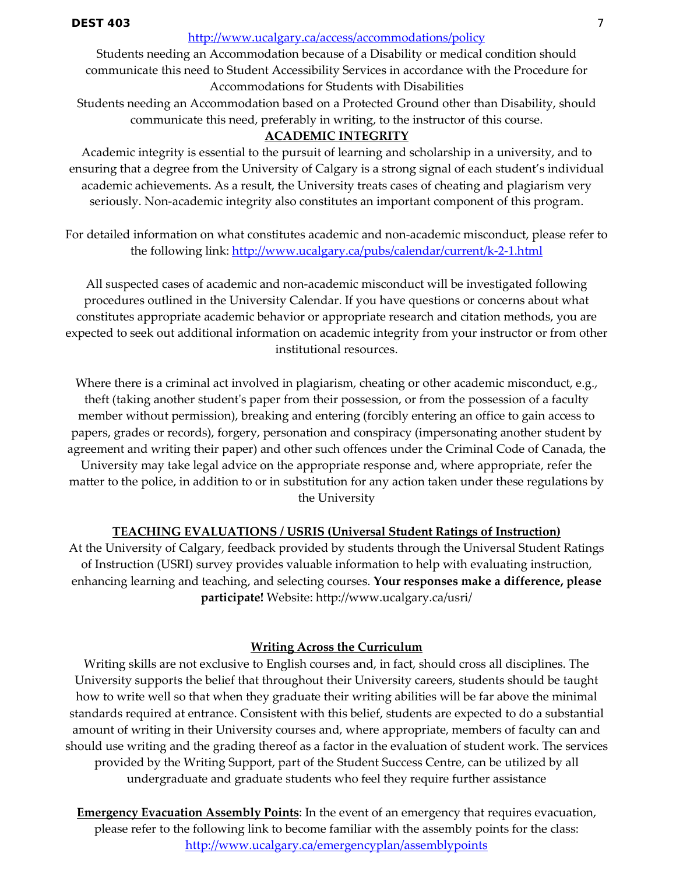#### <http://www.ucalgary.ca/access/accommodations/policy>

Students needing an Accommodation because of a Disability or medical condition should communicate this need to Student Accessibility Services in accordance with the Procedure for Accommodations for Students with Disabilities

Students needing an Accommodation based on a Protected Ground other than Disability, should communicate this need, preferably in writing, to the instructor of this course.

### **ACADEMIC INTEGRITY**

Academic integrity is essential to the pursuit of learning and scholarship in a university, and to ensuring that a degree from the University of Calgary is a strong signal of each student's individual academic achievements. As a result, the University treats cases of cheating and plagiarism very seriously. Non-academic integrity also constitutes an important component of this program.

For detailed information on what constitutes academic and non-academic misconduct, please refer to the following link:<http://www.ucalgary.ca/pubs/calendar/current/k-2-1.html>

All suspected cases of academic and non-academic misconduct will be investigated following procedures outlined in the University Calendar. If you have questions or concerns about what constitutes appropriate academic behavior or appropriate research and citation methods, you are expected to seek out additional information on academic integrity from your instructor or from other institutional resources.

Where there is a criminal act involved in plagiarism, cheating or other academic misconduct, e.g., theft (taking another student's paper from their possession, or from the possession of a faculty member without permission), breaking and entering (forcibly entering an office to gain access to papers, grades or records), forgery, personation and conspiracy (impersonating another student by agreement and writing their paper) and other such offences under the Criminal Code of Canada, the University may take legal advice on the appropriate response and, where appropriate, refer the matter to the police, in addition to or in substitution for any action taken under these regulations by the University

### **TEACHING EVALUATIONS / USRIS (Universal Student Ratings of Instruction)**

At the University of Calgary, feedback provided by students through the Universal Student Ratings of Instruction (USRI) survey provides valuable information to help with evaluating instruction, enhancing learning and teaching, and selecting courses. **Your responses make a difference, please participate!** Website: http://www.ucalgary.ca/usri/

## **Writing Across the Curriculum**

Writing skills are not exclusive to English courses and, in fact, should cross all disciplines. The University supports the belief that throughout their University careers, students should be taught how to write well so that when they graduate their writing abilities will be far above the minimal standards required at entrance. Consistent with this belief, students are expected to do a substantial amount of writing in their University courses and, where appropriate, members of faculty can and should use writing and the grading thereof as a factor in the evaluation of student work. The services provided by the Writing Support, part of the Student Success Centre, can be utilized by all undergraduate and graduate students who feel they require further assistance

**Emergency Evacuation Assembly Points:** In the event of an emergency that requires evacuation, please refer to the following link to become familiar with the assembly points for the class: <http://www.ucalgary.ca/emergencyplan/assemblypoints>